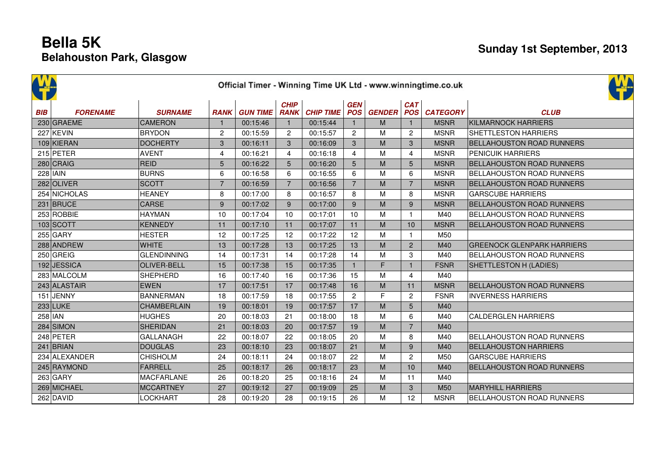|            | Official Timer - Winning Time UK Ltd - www.winningtime.co.uk |                    |                |                 |                            |                  |                          |               |                   |                 |                                   |  |  |
|------------|--------------------------------------------------------------|--------------------|----------------|-----------------|----------------------------|------------------|--------------------------|---------------|-------------------|-----------------|-----------------------------------|--|--|
| <b>BIB</b> | <b>FORENAME</b>                                              | <b>SURNAME</b>     | <b>RANK</b>    | <b>GUN TIME</b> | <b>CHIP</b><br><b>RANK</b> | <b>CHIP TIME</b> | <b>GEN</b><br><b>POS</b> | <b>GENDER</b> | <b>CAT</b><br>POS | <b>CATEGORY</b> | <b>CLUB</b>                       |  |  |
|            | 230 GRAEME                                                   | <b>CAMERON</b>     | $\mathbf{1}$   | 00:15:46        |                            | 00:15:44         |                          | M             | $\mathbf{1}$      | <b>MSNR</b>     | <b>KILMARNOCK HARRIERS</b>        |  |  |
|            | $227$ KEVIN                                                  | <b>BRYDON</b>      | $\overline{c}$ | 00:15:59        | $\overline{2}$             | 00:15:57         | $\overline{2}$           | M             | 2                 | <b>MSNR</b>     | <b>SHETTLESTON HARRIERS</b>       |  |  |
|            | $109$ KIERAN                                                 | <b>DOCHERTY</b>    | 3              | 00:16:11        | 3                          | 00:16:09         | 3                        | M             | 3                 | <b>MSNR</b>     | <b>BELLAHOUSTON ROAD RUNNERS</b>  |  |  |
|            | $215$ PETER                                                  | <b>AVENT</b>       | 4              | 00:16:21        | $\overline{4}$             | 00:16:18         | $\overline{4}$           | M             | $\overline{4}$    | <b>MSNR</b>     | <b>PENICUIK HARRIERS</b>          |  |  |
|            | $280$ CRAIG                                                  | <b>REID</b>        | 5              | 00:16:22        | 5                          | 00:16:20         | 5                        | M             | 5                 | <b>MSNR</b>     | <b>BELLAHOUSTON ROAD RUNNERS</b>  |  |  |
|            | $228$ IAIN                                                   | <b>BURNS</b>       | 6              | 00:16:58        | 6                          | 00:16:55         | 6                        | M             | 6                 | <b>MSNR</b>     | <b>BELLAHOUSTON ROAD RUNNERS</b>  |  |  |
|            | 282 OLIVER                                                   | <b>SCOTT</b>       | $\overline{7}$ | 00:16:59        | $\overline{7}$             | 00:16:56         | $\overline{7}$           | M             | $\overline{7}$    | <b>MSNR</b>     | <b>BELLAHOUSTON ROAD RUNNERS</b>  |  |  |
|            | 254 NICHOLAS                                                 | <b>HEANEY</b>      | 8              | 00:17:00        | 8                          | 00:16:57         | 8                        | M             | 8                 | <b>MSNR</b>     | <b>GARSCUBE HARRIERS</b>          |  |  |
|            | $231$ BRUCE                                                  | <b>CARSE</b>       | $\overline{9}$ | 00:17:02        | $\overline{9}$             | 00:17:00         | 9                        | M             | 9                 | <b>MSNR</b>     | <b>BELLAHOUSTON ROAD RUNNERS</b>  |  |  |
|            | 253 ROBBIE                                                   | <b>HAYMAN</b>      | 10             | 00:17:04        | 10                         | 00:17:01         | 10                       | M             | $\mathbf{1}$      | M40             | <b>BELLAHOUSTON ROAD RUNNERS</b>  |  |  |
|            | 103 SCOTT                                                    | <b>KENNEDY</b>     | 11             | 00:17:10        | 11                         | 00:17:07         | 11                       | M             | 10                | <b>MSNR</b>     | <b>BELLAHOUSTON ROAD RUNNERS</b>  |  |  |
|            | $255$ GARY                                                   | <b>HESTER</b>      | 12             | 00:17:25        | 12                         | 00:17:22         | 12                       | M             | $\mathbf{1}$      | M50             |                                   |  |  |
|            | 288 ANDREW                                                   | <b>WHITE</b>       | 13             | 00:17:28        | 13                         | 00:17:25         | 13                       | M             | $\overline{2}$    | M40             | <b>GREENOCK GLENPARK HARRIERS</b> |  |  |
|            | $250$ GREIG                                                  | <b>GLENDINNING</b> | 14             | 00:17:31        | 14                         | 00:17:28         | 14                       | M             | 3                 | M40             | <b>BELLAHOUSTON ROAD RUNNERS</b>  |  |  |
|            | 192 JESSICA                                                  | <b>OLIVER-BELL</b> | 15             | 00:17:38        | 15                         | 00:17:35         | $\mathbf{1}$             | $\mathsf F$   | $\mathbf{1}$      | <b>FSNR</b>     | SHETTLESTON H (LADIES)            |  |  |
|            | 283 MALCOLM                                                  | <b>SHEPHERD</b>    | 16             | 00:17:40        | 16                         | 00:17:36         | 15                       | M             | $\overline{4}$    | M40             |                                   |  |  |
|            | 243 ALASTAIR                                                 | <b>EWEN</b>        | 17             | 00:17:51        | 17                         | 00:17:48         | 16                       | M             | 11                | <b>MSNR</b>     | <b>BELLAHOUSTON ROAD RUNNERS</b>  |  |  |
|            | $151$ JENNY                                                  | <b>BANNERMAN</b>   | 18             | 00:17:59        | 18                         | 00:17:55         | $\overline{2}$           | F             | $\overline{c}$    | <b>FSNR</b>     | <b>INVERNESS HARRIERS</b>         |  |  |
|            | $233$ LUKE                                                   | <b>CHAMBERLAIN</b> | 19             | 00:18:01        | 19                         | 00:17:57         | 17                       | M             | 5                 | M40             |                                   |  |  |
| $258$ IAN  |                                                              | <b>HUGHES</b>      | 20             | 00:18:03        | 21                         | 00:18:00         | 18                       | M             | 6                 | M40             | <b>CALDERGLEN HARRIERS</b>        |  |  |
|            | $284$ SIMON                                                  | <b>SHERIDAN</b>    | 21             | 00:18:03        | 20                         | 00:17:57         | 19                       | M             | $\overline{7}$    | M40             |                                   |  |  |
|            | 248 PETER                                                    | <b>GALLANAGH</b>   | 22             | 00:18:07        | 22                         | 00:18:05         | 20                       | M             | 8                 | M40             | <b>BELLAHOUSTON ROAD RUNNERS</b>  |  |  |
|            | $241$ BRIAN                                                  | <b>DOUGLAS</b>     | 23             | 00:18:10        | 23                         | 00:18:07         | 21                       | M             | $\boldsymbol{9}$  | M40             | <b>BELLAHOUSTON HARRIERS</b>      |  |  |
|            | 234 ALEXANDER                                                | <b>CHISHOLM</b>    | 24             | 00:18:11        | 24                         | 00:18:07         | 22                       | M             | $\mathbf{2}$      | M50             | <b>GARSCUBE HARRIERS</b>          |  |  |
|            | 245 RAYMOND                                                  | <b>FARRELL</b>     | 25             | 00:18:17        | 26                         | 00:18:17         | 23                       | M             | 10                | M40             | <b>BELLAHOUSTON ROAD RUNNERS</b>  |  |  |
|            | $263$ GARY                                                   | <b>MACFARLANE</b>  | 26             | 00:18:20        | 25                         | 00:18:16         | 24                       | M             | 11                | M40             |                                   |  |  |
|            | 269 MICHAEL                                                  | <b>MCCARTNEY</b>   | 27             | 00:19:12        | 27                         | 00:19:09         | 25                       | M             | 3                 | M50             | <b>MARYHILL HARRIERS</b>          |  |  |
|            | 262 DAVID                                                    | <b>LOCKHART</b>    | 28             | 00:19:20        | 28                         | 00:19:15         | 26                       | M             | 12                | <b>MSNR</b>     | <b>BELLAHOUSTON ROAD RUNNERS</b>  |  |  |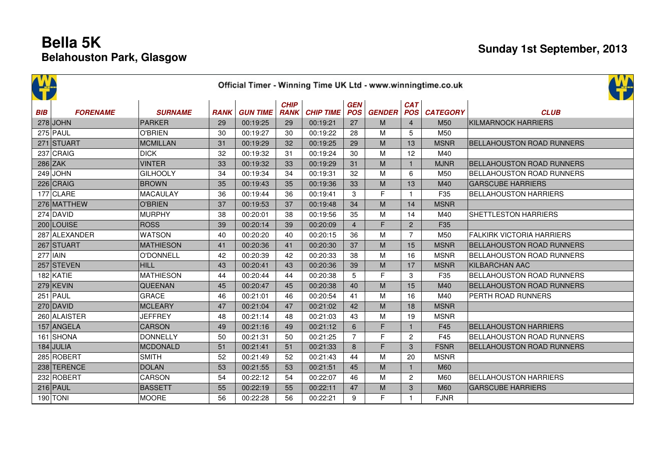| Official Timer - Winning Time UK Ltd - www.winningtime.co.uk |                 |                  |             |                 |                            |                  |                          |               |                          |                 |                                  |  |
|--------------------------------------------------------------|-----------------|------------------|-------------|-----------------|----------------------------|------------------|--------------------------|---------------|--------------------------|-----------------|----------------------------------|--|
| <b>BIB</b>                                                   | <b>FORENAME</b> | <b>SURNAME</b>   | <b>RANK</b> | <b>GUN TIME</b> | <b>CHIP</b><br><b>RANK</b> | <b>CHIP TIME</b> | <b>GEN</b><br><b>POS</b> | <b>GENDER</b> | <b>CAT</b><br><b>POS</b> | <b>CATEGORY</b> | <b>CLUB</b>                      |  |
|                                                              | $278$ JOHN      | <b>PARKER</b>    | 29          | 00:19:25        | 29                         | 00:19:21         | 27                       | M             | $\overline{4}$           | M50             | <b>KILMARNOCK HARRIERS</b>       |  |
|                                                              | $275$ PAUL      | <b>O'BRIEN</b>   | 30          | 00:19:27        | 30                         | 00:19:22         | 28                       | M             | 5                        | M50             |                                  |  |
|                                                              | 271 STUART      | <b>MCMILLAN</b>  | 31          | 00:19:29        | 32                         | 00:19:25         | 29                       | M             | 13                       | <b>MSNR</b>     | <b>BELLAHOUSTON ROAD RUNNERS</b> |  |
|                                                              | $237$ CRAIG     | <b>DICK</b>      | 32          | 00:19:32        | 31                         | 00:19:24         | 30                       | M             | 12                       | M40             |                                  |  |
|                                                              | $286$ ZAK       | <b>VINTER</b>    | 33          | 00:19:32        | 33                         | 00:19:29         | 31                       | M             | $\mathbf{1}$             | <b>MJNR</b>     | BELLAHOUSTON ROAD RUNNERS        |  |
|                                                              | $249$ JOHN      | <b>GILHOOLY</b>  | 34          | 00:19:34        | 34                         | 00:19:31         | 32                       | M             | 6                        | M50             | <b>BELLAHOUSTON ROAD RUNNERS</b> |  |
|                                                              | $226$ CRAIG     | <b>BROWN</b>     | 35          | 00:19:43        | 35                         | 00:19:36         | 33                       | M             | 13                       | M40             | <b>GARSCUBE HARRIERS</b>         |  |
|                                                              | $177$ CLARE     | <b>MACAULAY</b>  | 36          | 00:19:44        | 36                         | 00:19:41         | 3                        | F             | $\mathbf{1}$             | F35             | <b>BELLAHOUSTON HARRIERS</b>     |  |
|                                                              | 276 MATTHEW     | <b>O'BRIEN</b>   | 37          | 00:19:53        | 37                         | 00:19:48         | 34                       | M             | 14                       | <b>MSNR</b>     |                                  |  |
|                                                              | $274$ DAVID     | <b>MURPHY</b>    | 38          | 00:20:01        | 38                         | 00:19:56         | 35                       | M             | 14                       | M40             | <b>SHETTLESTON HARRIERS</b>      |  |
|                                                              | 200 LOUISE      | <b>ROSS</b>      | 39          | 00:20:14        | 39                         | 00:20:09         | $\overline{4}$           | F             | 2                        | F35             |                                  |  |
|                                                              | 287 ALEXANDER   | <b>WATSON</b>    | 40          | 00:20:20        | 40                         | 00:20:15         | 36                       | M             | $\overline{7}$           | M50             | <b>FALKIRK VICTORIA HARRIERS</b> |  |
|                                                              | 267 STUART      | <b>MATHIESON</b> | 41          | 00:20:36        | 41                         | 00:20:30         | 37                       | M             | 15                       | <b>MSNR</b>     | <b>BELLAHOUSTON ROAD RUNNERS</b> |  |
|                                                              | $277$ IAIN      | <b>O'DONNELL</b> | 42          | 00:20:39        | 42                         | 00:20:33         | 38                       | M             | 16                       | <b>MSNR</b>     | BELLAHOUSTON ROAD RUNNERS        |  |
|                                                              | 257 STEVEN      | <b>HILL</b>      | 43          | 00:20:41        | 43                         | 00:20:36         | 39                       | M             | 17                       | <b>MSNR</b>     | KILBARCHAN AAC                   |  |
|                                                              | $182$ KATIE     | <b>MATHIESON</b> | 44          | 00:20:44        | 44                         | 00:20:38         | 5                        | F             | 3                        | F35             | <b>BELLAHOUSTON ROAD RUNNERS</b> |  |
|                                                              | $279$ KEVIN     | <b>QUEENAN</b>   | 45          | 00:20:47        | 45                         | 00:20:38         | 40                       | M             | 15                       | M40             | <b>BELLAHOUSTON ROAD RUNNERS</b> |  |
|                                                              | $251$ PAUL      | <b>GRACE</b>     | 46          | 00:21:01        | 46                         | 00:20:54         | 41                       | M             | 16                       | M40             | PERTH ROAD RUNNERS               |  |
|                                                              | $270$ DAVID     | <b>MCLEARY</b>   | 47          | 00:21:04        | 47                         | 00:21:02         | 42                       | M             | 18                       | <b>MSNR</b>     |                                  |  |
|                                                              | 260 ALAISTER    | <b>JEFFREY</b>   | 48          | 00:21:14        | 48                         | 00:21:03         | 43                       | M             | 19                       | <b>MSNR</b>     |                                  |  |
|                                                              | 157 ANGELA      | <b>CARSON</b>    | 49          | 00:21:16        | 49                         | 00:21:12         | 6                        | F             | $\mathbf{1}$             | F45             | <b>BELLAHOUSTON HARRIERS</b>     |  |
|                                                              | 161 SHONA       | <b>DONNELLY</b>  | 50          | 00:21:31        | 50                         | 00:21:25         | $\overline{7}$           | F             | $\overline{c}$           | F45             | <b>BELLAHOUSTON ROAD RUNNERS</b> |  |
|                                                              | $184$ JULIA     | <b>MCDONALD</b>  | 51          | 00:21:41        | 51                         | 00:21:33         | 8                        | F             | 3                        | <b>FSNR</b>     | <b>BELLAHOUSTON ROAD RUNNERS</b> |  |
|                                                              | 285 ROBERT      | <b>SMITH</b>     | 52          | 00:21:49        | 52                         | 00:21:43         | 44                       | M             | 20                       | <b>MSNR</b>     |                                  |  |
|                                                              | 238 TERENCE     | <b>DOLAN</b>     | 53          | 00:21:55        | 53                         | 00:21:51         | 45                       | M             | $\mathbf{1}$             | <b>M60</b>      |                                  |  |
|                                                              | 232 ROBERT      | CARSON           | 54          | 00:22:12        | 54                         | 00:22:07         | 46                       | M             | 2                        | M60             | <b>BELLAHOUSTON HARRIERS</b>     |  |
|                                                              | $216$ PAUL      | <b>BASSETT</b>   | 55          | 00:22:19        | 55                         | 00:22:11         | 47                       | M             | 3                        | <b>M60</b>      | <b>GARSCUBE HARRIERS</b>         |  |
|                                                              | $190$ TONI      | <b>MOORE</b>     | 56          | 00:22:28        | 56                         | 00:22:21         | 9                        | F             | $\mathbf{1}$             | <b>FJNR</b>     |                                  |  |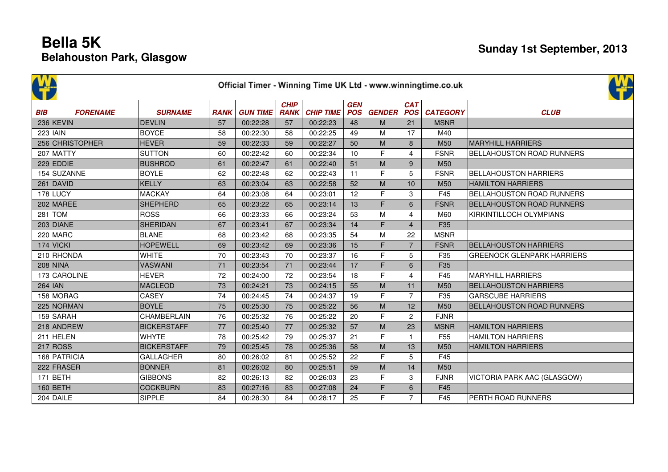|            | Official Timer - Winning Time UK Ltd - www.winningtime.co.uk |                    |             |                 |                            |                  |            |                   |                          |                 |                                   |  |  |
|------------|--------------------------------------------------------------|--------------------|-------------|-----------------|----------------------------|------------------|------------|-------------------|--------------------------|-----------------|-----------------------------------|--|--|
| <b>BIB</b> | <b>FORENAME</b>                                              | <b>SURNAME</b>     | <b>RANK</b> | <b>GUN TIME</b> | <b>CHIP</b><br><b>RANK</b> | <b>CHIP TIME</b> | <b>GEN</b> | <b>POS</b> GENDER | <b>CAT</b><br><b>POS</b> | <b>CATEGORY</b> | <b>CLUB</b>                       |  |  |
|            | 236 KEVIN                                                    | DEVLIN             | 57          | 00:22:28        | 57                         | 00:22:23         | 48         | M                 | 21                       | <b>MSNR</b>     |                                   |  |  |
|            | $223$ IAIN                                                   | <b>BOYCE</b>       | 58          | 00:22:30        | 58                         | 00:22:25         | 49         | M                 | 17                       | M40             |                                   |  |  |
|            | 256 CHRISTOPHER                                              | <b>HEVER</b>       | 59          | 00:22:33        | 59                         | 00:22:27         | 50         | M                 | 8                        | M50             | <b>MARYHILL HARRIERS</b>          |  |  |
|            | 207 MATTY                                                    | <b>SUTTON</b>      | 60          | 00:22:42        | 60                         | 00:22:34         | 10         | F                 | 4                        | <b>FSNR</b>     | BELLAHOUSTON ROAD RUNNERS         |  |  |
|            | $229$ EDDIE                                                  | <b>BUSHROD</b>     | 61          | 00:22:47        | 61                         | 00:22:40         | 51         | M                 | 9                        | M50             |                                   |  |  |
|            | 154 SUZANNE                                                  | <b>BOYLE</b>       | 62          | 00:22:48        | 62                         | 00:22:43         | 11         | F                 | 5                        | <b>FSNR</b>     | <b>BELLAHOUSTON HARRIERS</b>      |  |  |
|            | $261$ DAVID                                                  | KELLY              | 63          | 00:23:04        | 63                         | 00:22:58         | 52         | M                 | 10                       | M50             | <b>HAMILTON HARRIERS</b>          |  |  |
|            | $178$ LUCY                                                   | <b>MACKAY</b>      | 64          | 00:23:08        | 64                         | 00:23:01         | 12         | F                 | 3                        | F45             | BELLAHOUSTON ROAD RUNNERS         |  |  |
|            | $202$ MAREE                                                  | <b>SHEPHERD</b>    | 65          | 00:23:22        | 65                         | 00:23:14         | 13         | F                 | 6                        | <b>FSNR</b>     | <b>BELLAHOUSTON ROAD RUNNERS</b>  |  |  |
|            | $281$ TOM                                                    | <b>ROSS</b>        | 66          | 00:23:33        | 66                         | 00:23:24         | 53         | M                 | $\overline{4}$           | M60             | KIRKINTILLOCH OLYMPIANS           |  |  |
|            | 203 DIANE                                                    | <b>SHERIDAN</b>    | 67          | 00:23:41        | 67                         | 00:23:34         | 14         | F                 | $\overline{4}$           | F35             |                                   |  |  |
|            | $220$ MARC                                                   | <b>BLANE</b>       | 68          | 00:23:42        | 68                         | 00:23:35         | 54         | M                 | 22                       | <b>MSNR</b>     |                                   |  |  |
|            | $174$ VICKI                                                  | <b>HOPEWELL</b>    | 69          | 00:23:42        | 69                         | 00:23:36         | 15         | F                 | $\overline{7}$           | <b>FSNR</b>     | <b>BELLAHOUSTON HARRIERS</b>      |  |  |
|            | 210 RHONDA                                                   | <b>WHITE</b>       | 70          | 00:23:43        | 70                         | 00:23:37         | 16         | F                 | 5                        | F35             | <b>GREENOCK GLENPARK HARRIERS</b> |  |  |
|            | $208$ NINA                                                   | <b>VASWANI</b>     | 71          | 00:23:54        | 71                         | 00:23:44         | 17         | F                 | 6                        | F35             |                                   |  |  |
|            | 173 CAROLINE                                                 | <b>HEVER</b>       | 72          | 00:24:00        | 72                         | 00:23:54         | 18         | F                 | 4                        | F45             | <b>MARYHILL HARRIERS</b>          |  |  |
| $264$ IAN  |                                                              | <b>MACLEOD</b>     | 73          | 00:24:21        | 73                         | 00:24:15         | 55         | M                 | 11                       | M <sub>50</sub> | <b>BELLAHOUSTON HARRIERS</b>      |  |  |
|            | 158 MORAG                                                    | <b>CASEY</b>       | 74          | 00:24:45        | 74                         | 00:24:37         | 19         | F                 | $\overline{7}$           | F35             | <b>GARSCUBE HARRIERS</b>          |  |  |
|            | 225 NORMAN                                                   | <b>BOYLE</b>       | 75          | 00:25:30        | 75                         | 00:25:22         | 56         | M                 | 12                       | M50             | <b>BELLAHOUSTON ROAD RUNNERS</b>  |  |  |
|            | 159 SARAH                                                    | <b>CHAMBERLAIN</b> | 76          | 00:25:32        | 76                         | 00:25:22         | 20         | E                 | 2                        | <b>FJNR</b>     |                                   |  |  |
|            | 218 ANDREW                                                   | <b>BICKERSTAFF</b> | 77          | 00:25:40        | 77                         | 00:25:32         | 57         | M                 | 23                       | <b>MSNR</b>     | <b>HAMILTON HARRIERS</b>          |  |  |
|            | $211$ HELEN                                                  | <b>WHYTE</b>       | 78          | 00:25:42        | 79                         | 00:25:37         | 21         | F                 | $\mathbf{1}$             | F <sub>55</sub> | <b>HAMILTON HARRIERS</b>          |  |  |
|            | 217 ROS                                                      | <b>BICKERSTAFF</b> | 79          | 00:25:45        | 78                         | 00:25:36         | 58         | M                 | 13                       | M50             | <b>HAMILTON HARRIERS</b>          |  |  |
|            | 168 PATRICIA                                                 | <b>GALLAGHER</b>   | 80          | 00:26:02        | 81                         | 00:25:52         | 22         | F                 | 5                        | F45             |                                   |  |  |
|            | 222 FRASER                                                   | <b>BONNER</b>      | 81          | 00:26:02        | 80                         | 00:25:51         | 59         | M                 | 14                       | M50             |                                   |  |  |
|            | $171$ BETH                                                   | <b>GIBBONS</b>     | 82          | 00:26:13        | 82                         | 00:26:03         | 23         | F                 | 3                        | <b>FJNR</b>     | VICTORIA PARK AAC (GLASGOW)       |  |  |
|            | $160$ BETH                                                   | <b>COCKBURN</b>    | 83          | 00:27:16        | 83                         | 00:27:08         | 24         | F                 | 6                        | F45             |                                   |  |  |
|            | $204$ DAILE                                                  | <b>SIPPLE</b>      | 84          | 00:28:30        | 84                         | 00:28:17         | 25         | F                 | $\overline{7}$           | F45             | PERTH ROAD RUNNERS                |  |  |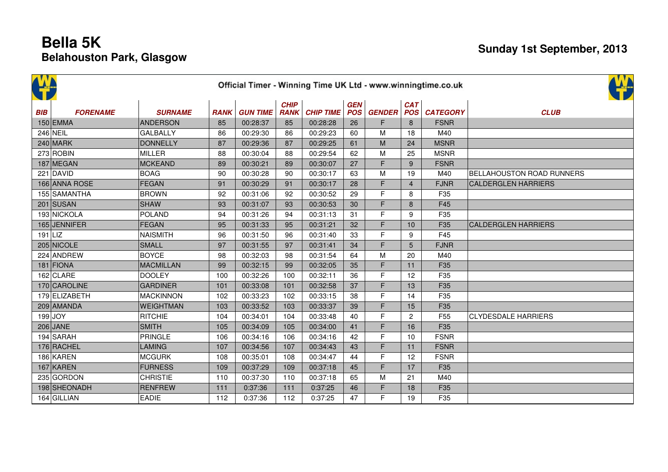| Official Timer - Winning Time UK Ltd - www.winningtime.co.uk |                 |                  |             |                 |                            |                  |                          |               |                   |                 |                                  |
|--------------------------------------------------------------|-----------------|------------------|-------------|-----------------|----------------------------|------------------|--------------------------|---------------|-------------------|-----------------|----------------------------------|
| <b>BIB</b>                                                   | <b>FORENAME</b> | <b>SURNAME</b>   | <b>RANK</b> | <b>GUN TIME</b> | <b>CHIP</b><br><b>RANK</b> | <b>CHIP TIME</b> | <b>GEN</b><br><b>POS</b> | <b>GENDER</b> | <b>CAT</b><br>POS | <b>CATEGORY</b> | <b>CLUB</b>                      |
|                                                              | $150$ EMMA      | <b>ANDERSON</b>  | 85          | 00:28:37        | 85                         | 00:28:28         | 26                       | F             | 8                 | <b>FSNR</b>     |                                  |
|                                                              | 246 NEIL        | <b>GALBALLY</b>  | 86          | 00:29:30        | 86                         | 00:29:23         | 60                       | M             | 18                | M40             |                                  |
|                                                              | $240$ MARK      | <b>DONNELLY</b>  | 87          | 00:29:36        | 87                         | 00:29:25         | 61                       | M             | 24                | <b>MSNR</b>     |                                  |
|                                                              | $273$ ROBIN     | <b>MILLER</b>    | 88          | 00:30:04        | 88                         | 00:29:54         | 62                       | M             | 25                | <b>MSNR</b>     |                                  |
|                                                              | 187 MEGAN       | <b>MCKEAND</b>   | 89          | 00:30:21        | 89                         | 00:30:07         | 27                       | F             | 9                 | <b>FSNR</b>     |                                  |
|                                                              | 221 DAVID       | <b>BOAG</b>      | 90          | 00:30:28        | 90                         | 00:30:17         | 63                       | M             | 19                | M40             | <b>BELLAHOUSTON ROAD RUNNERS</b> |
|                                                              | 166 ANNA ROSE   | <b>FEGAN</b>     | 91          | 00:30:29        | 91                         | 00:30:17         | 28                       | F             | $\overline{4}$    | <b>FJNR</b>     | <b>CALDERGLEN HARRIERS</b>       |
|                                                              | 155 SAMANTHA    | <b>BROWN</b>     | 92          | 00:31:06        | 92                         | 00:30:52         | 29                       | F             | 8                 | F35             |                                  |
|                                                              | $201$ SUSAN     | <b>SHAW</b>      | 93          | 00:31:07        | 93                         | 00:30:53         | 30                       | F             | 8                 | F45             |                                  |
|                                                              | 193 NICKOLA     | <b>POLAND</b>    | 94          | 00:31:26        | 94                         | 00:31:13         | 31                       | F             | 9                 | F35             |                                  |
|                                                              | 165 JENNIFER    | <b>FEGAN</b>     | 95          | 00:31:33        | 95                         | 00:31:21         | 32                       | F.            | 10                | F35             | <b>CALDERGLEN HARRIERS</b>       |
| $191$  LIZ                                                   |                 | <b>NAISMITH</b>  | 96          | 00:31:50        | 96                         | 00:31:40         | 33                       | F             | 9                 | F45             |                                  |
|                                                              | 205 NICOLE      | <b>SMALL</b>     | 97          | 00:31:55        | 97                         | 00:31:41         | 34                       | F             | 5                 | <b>FJNR</b>     |                                  |
|                                                              | 224 ANDREW      | <b>BOYCE</b>     | 98          | 00:32:03        | 98                         | 00:31:54         | 64                       | M             | 20                | M40             |                                  |
|                                                              | 181 FIONA       | <b>MACMILLAN</b> | 99          | 00:32:15        | 99                         | 00:32:05         | 35                       | F.            | 11                | F35             |                                  |
|                                                              | 162 CLARE       | <b>DOOLEY</b>    | 100         | 00:32:26        | 100                        | 00:32:11         | 36                       | F             | 12                | F35             |                                  |
|                                                              | 170 CAROLINE    | <b>GARDINER</b>  | 101         | 00:33:08        | 101                        | 00:32:58         | 37                       | F             | 13                | F35             |                                  |
|                                                              | 179 ELIZABETH   | <b>MACKINNON</b> | 102         | 00:33:23        | 102                        | 00:33:15         | 38                       | F             | 14                | F35             |                                  |
|                                                              | 209 AMANDA      | <b>WEIGHTMAN</b> | 103         | 00:33:52        | 103                        | 00:33:37         | 39                       | F             | 15                | F35             |                                  |
|                                                              | $199$ JOY       | <b>RITCHIE</b>   | 104         | 00:34:01        | 104                        | 00:33:48         | 40                       | F             | $\overline{c}$    | F <sub>55</sub> | <b>CLYDESDALE HARRIERS</b>       |
|                                                              | 206 JANE        | <b>SMITH</b>     | 105         | 00:34:09        | 105                        | 00:34:00         | 41                       | F.            | 16                | F35             |                                  |
|                                                              | 194 SARAH       | PRINGLE          | 106         | 00:34:16        | 106                        | 00:34:16         | 42                       | F             | 10                | <b>FSNR</b>     |                                  |
|                                                              | 176 RACHEL      | <b>LAMING</b>    | 107         | 00:34:56        | 107                        | 00:34:43         | 43                       | F             | 11                | <b>FSNR</b>     |                                  |
|                                                              | 186 KAREN       | <b>MCGURK</b>    | 108         | 00:35:01        | 108                        | 00:34:47         | 44                       | F             | 12                | <b>FSNR</b>     |                                  |
|                                                              | $167$ KAREN     | <b>FURNESS</b>   | 109         | 00:37:29        | 109                        | 00:37:18         | 45                       | F.            | 17                | F35             |                                  |
|                                                              | 235 GORDON      | <b>CHRISTIE</b>  | 110         | 00:37:30        | 110                        | 00:37:18         | 65                       | M             | 21                | M40             |                                  |
|                                                              | 198 SHEONADH    | <b>RENFREW</b>   | 111         | 0:37:36         | 111                        | 0:37:25          | 46                       | F             | 18                | F35             |                                  |
|                                                              | 164 GILLIAN     | <b>EADIE</b>     | 112         | 0:37:36         | 112                        | 0:37:25          | 47                       | F             | 19                | F35             |                                  |